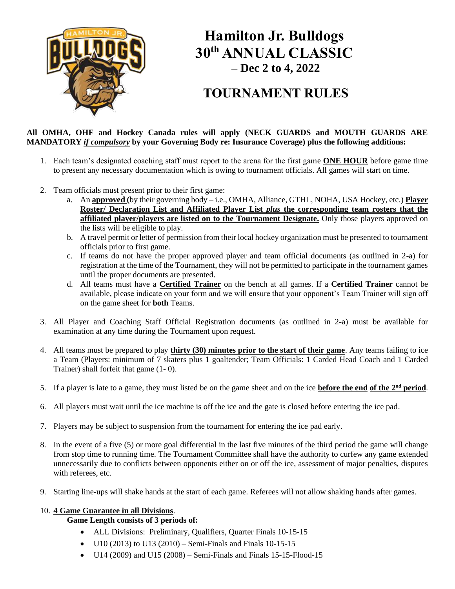

# **Hamilton Jr. Bulldogs 30th ANNUAL CLASSIC – Dec 2 to 4, 2022**

## **TOURNAMENT RULES**

#### **All OMHA, OHF and Hockey Canada rules will apply (NECK GUARDS and MOUTH GUARDS ARE MANDATORY** *if compulsory* **by your Governing Body re: Insurance Coverage) plus the following additions:**

- 1. Each team's designated coaching staff must report to the arena for the first game **ONE HOUR** before game time to present any necessary documentation which is owing to tournament officials. All games will start on time.
- 2. Team officials must present prior to their first game:
	- a. An **approved (**by their governing body i.e., OMHA, Alliance, GTHL, NOHA, USA Hockey, etc.) **Player Roster/ Declaration List and Affiliated Player List** *plus* **the corresponding team rosters that the affiliated player/players are listed on to the Tournament Designate.** Only those players approved on the lists will be eligible to play.
	- b. A travel permit or letter of permission from their local hockey organization must be presented to tournament officials prior to first game.
	- c. If teams do not have the proper approved player and team official documents (as outlined in 2-a) for registration at the time of the Tournament, they will not be permitted to participate in the tournament games until the proper documents are presented.
	- d. All teams must have a **Certified Trainer** on the bench at all games. If a **Certified Trainer** cannot be available, please indicate on your form and we will ensure that your opponent's Team Trainer will sign off on the game sheet for **both** Teams.
- 3. All Player and Coaching Staff Official Registration documents (as outlined in 2-a) must be available for examination at any time during the Tournament upon request.
- 4. All teams must be prepared to play **thirty (30) minutes prior to the start of their game**. Any teams failing to ice a Team (Players: minimum of 7 skaters plus 1 goaltender; Team Officials: 1 Carded Head Coach and 1 Carded Trainer) shall forfeit that game (1- 0).
- 5. If a player is late to a game, they must listed be on the game sheet and on the ice **before the end of the 2nd period**.
- 6. All players must wait until the ice machine is off the ice and the gate is closed before entering the ice pad.
- 7. Players may be subject to suspension from the tournament for entering the ice pad early.
- 8. In the event of a five (5) or more goal differential in the last five minutes of the third period the game will change from stop time to running time. The Tournament Committee shall have the authority to curfew any game extended unnecessarily due to conflicts between opponents either on or off the ice, assessment of major penalties, disputes with referees, etc.
- 9. Starting line-ups will shake hands at the start of each game. Referees will not allow shaking hands after games.

#### 10. **4 Game Guarantee in all Divisions**.

#### **Game Length consists of 3 periods of:**

- ALL Divisions: Preliminary, Qualifiers, Quarter Finals 10-15-15
- U10 (2013) to U13 (2010) Semi-Finals and Finals 10-15-15
- U14 (2009) and U15 (2008) Semi-Finals and Finals 15-15-Flood-15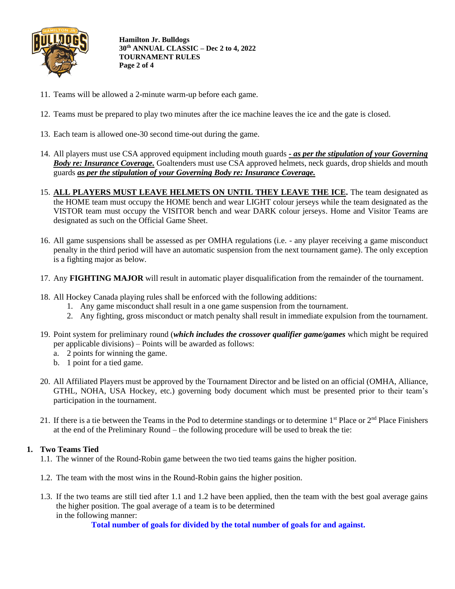

**Hamilton Jr. Bulldogs 30th ANNUAL CLASSIC – Dec 2 to 4, 2022 TOURNAMENT RULES Page 2 of 4**

- 11. Teams will be allowed a 2-minute warm-up before each game.
- 12. Teams must be prepared to play two minutes after the ice machine leaves the ice and the gate is closed.
- 13. Each team is allowed one-30 second time-out during the game.
- 14. All players must use CSA approved equipment including mouth guards *- as per the stipulation of your Governing Body re: Insurance Coverage.* Goaltenders must use CSA approved helmets, neck guards, drop shields and mouth guards *as per the stipulation of your Governing Body re: Insurance Coverage.*
- 15. **ALL PLAYERS MUST LEAVE HELMETS ON UNTIL THEY LEAVE THE ICE.** The team designated as the HOME team must occupy the HOME bench and wear LIGHT colour jerseys while the team designated as the VISTOR team must occupy the VISITOR bench and wear DARK colour jerseys. Home and Visitor Teams are designated as such on the Official Game Sheet.
- 16. All game suspensions shall be assessed as per OMHA regulations (i.e. any player receiving a game misconduct penalty in the third period will have an automatic suspension from the next tournament game). The only exception is a fighting major as below.
- 17. Any **FIGHTING MAJOR** will result in automatic player disqualification from the remainder of the tournament.
- 18. All Hockey Canada playing rules shall be enforced with the following additions:
	- 1. Any game misconduct shall result in a one game suspension from the tournament.
	- 2. Any fighting, gross misconduct or match penalty shall result in immediate expulsion from the tournament.
- 19. Point system for preliminary round (*which includes the crossover qualifier game/games* which might be required per applicable divisions) – Points will be awarded as follows:
	- a. 2 points for winning the game.
	- b. 1 point for a tied game.
- 20. All Affiliated Players must be approved by the Tournament Director and be listed on an official (OMHA, Alliance, GTHL, NOHA, USA Hockey, etc.) governing body document which must be presented prior to their team's participation in the tournament.
- 21. If there is a tie between the Teams in the Pod to determine standings or to determine  $1<sup>st</sup>$  Place or  $2<sup>nd</sup>$  Place Finishers at the end of the Preliminary Round – the following procedure will be used to break the tie:

#### **1. Two Teams Tied**

- 1.1. The winner of the Round-Robin game between the two tied teams gains the higher position.
- 1.2. The team with the most wins in the Round-Robin gains the higher position.
- 1.3. If the two teams are still tied after 1.1 and 1.2 have been applied, then the team with the best goal average gains the higher position. The goal average of a team is to be determined in the following manner:

**Total number of goals for divided by the total number of goals for and against.**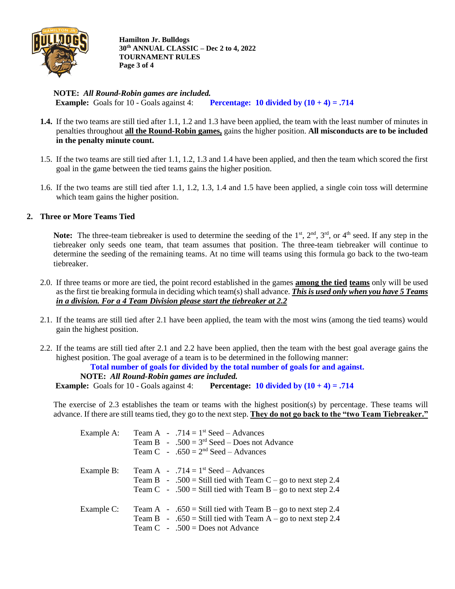

**Hamilton Jr. Bulldogs 30th ANNUAL CLASSIC – Dec 2 to 4, 2022 TOURNAMENT RULES Page 3 of 4**

**NOTE:** *All Round-Robin games are included.* **Example:** Goals for 10 - Goals against 4: **Percentage:** 10 divided by  $(10 + 4) = .714$ 

- **1.4.** If the two teams are still tied after 1.1, 1.2 and 1.3 have been applied, the team with the least number of minutes in penalties throughout **all the Round-Robin games,** gains the higher position. **All misconducts are to be included in the penalty minute count.**
- 1.5. If the two teams are still tied after 1.1, 1.2, 1.3 and 1.4 have been applied, and then the team which scored the first goal in the game between the tied teams gains the higher position.
- 1.6. If the two teams are still tied after 1.1, 1.2, 1.3, 1.4 and 1.5 have been applied, a single coin toss will determine which team gains the higher position.

#### **2. Three or More Teams Tied**

**Note:** The three-team tiebreaker is used to determine the seeding of the 1<sup>st</sup>, 2<sup>nd</sup>, 3<sup>rd</sup>, or 4<sup>th</sup> seed. If any step in the tiebreaker only seeds one team, that team assumes that position. The three-team tiebreaker will continue to determine the seeding of the remaining teams. At no time will teams using this formula go back to the two-team tiebreaker.

- 2.0. If three teams or more are tied, the point record established in the games **among the tied teams** only will be used as the first tie breaking formula in deciding which team(s) shall advance. *This is used only when you have 5 Teams in a division. For a 4 Team Division please start the tiebreaker at 2.2*
- 2.1. If the teams are still tied after 2.1 have been applied, the team with the most wins (among the tied teams) would gain the highest position.
- 2.2. If the teams are still tied after 2.1 and 2.2 have been applied, then the team with the best goal average gains the highest position. The goal average of a team is to be determined in the following manner:

**Total number of goals for divided by the total number of goals for and against.**

**NOTE:** *All Round-Robin games are included.*

**Example:** Goals for 10 - Goals against 4: **Percentage:** 10 divided by  $(10 + 4) = .714$ 

The exercise of 2.3 establishes the team or teams with the highest position(s) by percentage. These teams will advance. If there are still teams tied, they go to the next step. **They do not go back to the "two Team Tiebreaker."**

| Example A: | Team A - $.714 = 1$ <sup>st</sup> Seed - Advances<br>Team B - $.500 = 3rd$ Seed – Does not Advance<br>Team C - .650 = $2nd$ Seed – Advances                                       |
|------------|-----------------------------------------------------------------------------------------------------------------------------------------------------------------------------------|
| Example B: | Team A - $.714 = 1$ <sup>st</sup> Seed – Advances<br>Team B - .500 = Still tied with Team C – go to next step 2.4<br>Team C - .500 = Still tied with Team B – go to next step 2.4 |
| Example C: | Team A - .650 = Still tied with Team B – go to next step 2.4<br>Team B - .650 = Still tied with Team A – go to next step 2.4<br>Team $C \sim .500 =$ Does not Advance             |